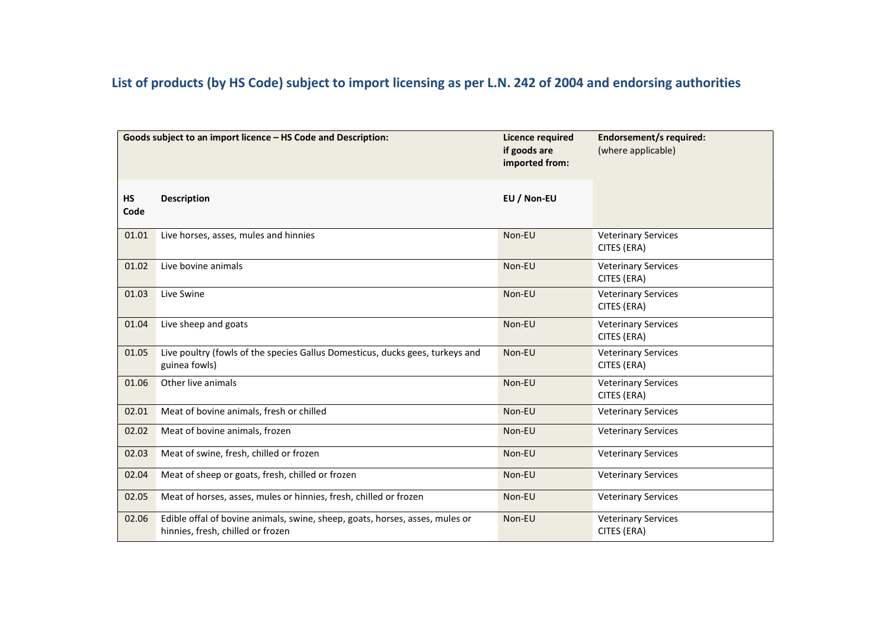## List of products (by HS Code) subject to import licensing as per L.N. 242 of 2004 and endorsing authorities

|                   | Goods subject to an import licence - HS Code and Description:                                                     | <b>Licence required</b><br>if goods are<br>imported from: | <b>Endorsement/s required:</b><br>(where applicable) |
|-------------------|-------------------------------------------------------------------------------------------------------------------|-----------------------------------------------------------|------------------------------------------------------|
| <b>HS</b><br>Code | <b>Description</b>                                                                                                | EU / Non-EU                                               |                                                      |
| 01.01             | Live horses, asses, mules and hinnies                                                                             | Non-EU                                                    | <b>Veterinary Services</b><br>CITES (ERA)            |
| 01.02             | Live bovine animals                                                                                               | Non-EU                                                    | <b>Veterinary Services</b><br>CITES (ERA)            |
| 01.03             | Live Swine                                                                                                        | Non-EU                                                    | <b>Veterinary Services</b><br>CITES (ERA)            |
| 01.04             | Live sheep and goats                                                                                              | Non-EU                                                    | <b>Veterinary Services</b><br>CITES (ERA)            |
| 01.05             | Live poultry (fowls of the species Gallus Domesticus, ducks gees, turkeys and<br>guinea fowls)                    | Non-EU                                                    | <b>Veterinary Services</b><br>CITES (ERA)            |
| 01.06             | Other live animals                                                                                                | Non-EU                                                    | <b>Veterinary Services</b><br>CITES (ERA)            |
| 02.01             | Meat of bovine animals, fresh or chilled                                                                          | Non-EU                                                    | <b>Veterinary Services</b>                           |
| 02.02             | Meat of bovine animals, frozen                                                                                    | Non-EU                                                    | <b>Veterinary Services</b>                           |
| 02.03             | Meat of swine, fresh, chilled or frozen                                                                           | Non-EU                                                    | <b>Veterinary Services</b>                           |
| 02.04             | Meat of sheep or goats, fresh, chilled or frozen                                                                  | Non-EU                                                    | <b>Veterinary Services</b>                           |
| 02.05             | Meat of horses, asses, mules or hinnies, fresh, chilled or frozen                                                 | Non-EU                                                    | <b>Veterinary Services</b>                           |
| 02.06             | Edible offal of bovine animals, swine, sheep, goats, horses, asses, mules or<br>hinnies, fresh, chilled or frozen | Non-EU                                                    | <b>Veterinary Services</b><br>CITES (ERA)            |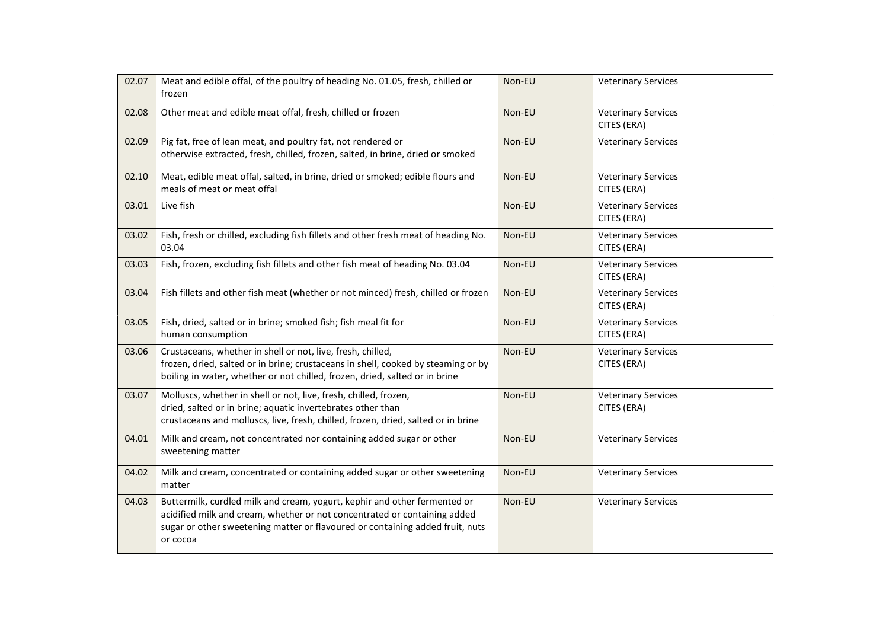| 02.07 | Meat and edible offal, of the poultry of heading No. 01.05, fresh, chilled or<br>frozen                                                                                                                                                             | Non-EU | <b>Veterinary Services</b>                |
|-------|-----------------------------------------------------------------------------------------------------------------------------------------------------------------------------------------------------------------------------------------------------|--------|-------------------------------------------|
| 02.08 | Other meat and edible meat offal, fresh, chilled or frozen                                                                                                                                                                                          | Non-EU | <b>Veterinary Services</b><br>CITES (ERA) |
| 02.09 | Pig fat, free of lean meat, and poultry fat, not rendered or<br>otherwise extracted, fresh, chilled, frozen, salted, in brine, dried or smoked                                                                                                      | Non-EU | <b>Veterinary Services</b>                |
| 02.10 | Meat, edible meat offal, salted, in brine, dried or smoked; edible flours and<br>meals of meat or meat offal                                                                                                                                        | Non-EU | <b>Veterinary Services</b><br>CITES (ERA) |
| 03.01 | Live fish                                                                                                                                                                                                                                           | Non-EU | <b>Veterinary Services</b><br>CITES (ERA) |
| 03.02 | Fish, fresh or chilled, excluding fish fillets and other fresh meat of heading No.<br>03.04                                                                                                                                                         | Non-EU | <b>Veterinary Services</b><br>CITES (ERA) |
| 03.03 | Fish, frozen, excluding fish fillets and other fish meat of heading No. 03.04                                                                                                                                                                       | Non-EU | <b>Veterinary Services</b><br>CITES (ERA) |
| 03.04 | Fish fillets and other fish meat (whether or not minced) fresh, chilled or frozen                                                                                                                                                                   | Non-EU | <b>Veterinary Services</b><br>CITES (ERA) |
| 03.05 | Fish, dried, salted or in brine; smoked fish; fish meal fit for<br>human consumption                                                                                                                                                                | Non-EU | <b>Veterinary Services</b><br>CITES (ERA) |
| 03.06 | Crustaceans, whether in shell or not, live, fresh, chilled,<br>frozen, dried, salted or in brine; crustaceans in shell, cooked by steaming or by<br>boiling in water, whether or not chilled, frozen, dried, salted or in brine                     | Non-EU | <b>Veterinary Services</b><br>CITES (ERA) |
| 03.07 | Molluscs, whether in shell or not, live, fresh, chilled, frozen,<br>dried, salted or in brine; aquatic invertebrates other than<br>crustaceans and molluscs, live, fresh, chilled, frozen, dried, salted or in brine                                | Non-EU | <b>Veterinary Services</b><br>CITES (ERA) |
| 04.01 | Milk and cream, not concentrated nor containing added sugar or other<br>sweetening matter                                                                                                                                                           | Non-EU | <b>Veterinary Services</b>                |
| 04.02 | Milk and cream, concentrated or containing added sugar or other sweetening<br>matter                                                                                                                                                                | Non-EU | <b>Veterinary Services</b>                |
| 04.03 | Buttermilk, curdled milk and cream, yogurt, kephir and other fermented or<br>acidified milk and cream, whether or not concentrated or containing added<br>sugar or other sweetening matter or flavoured or containing added fruit, nuts<br>or cocoa | Non-EU | <b>Veterinary Services</b>                |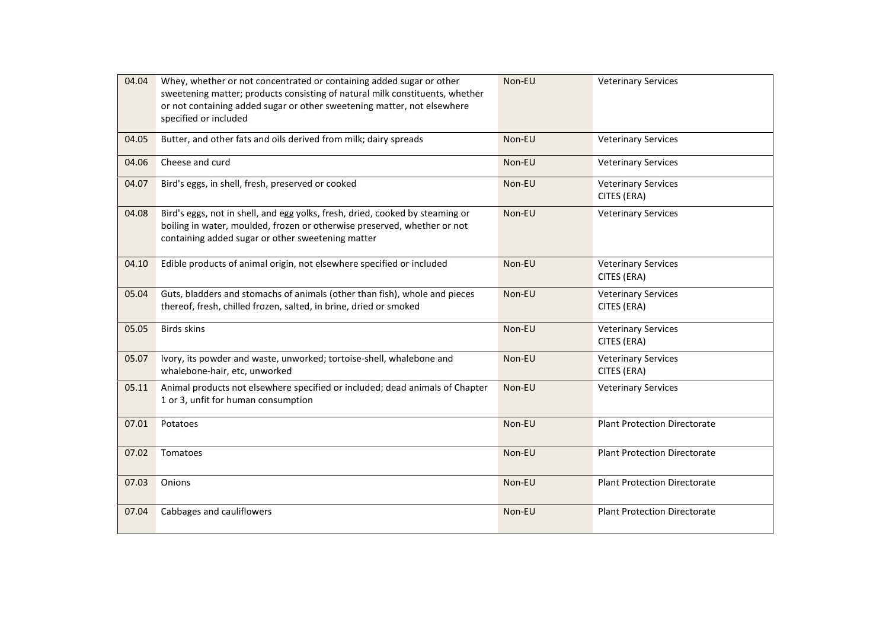| 04.04 | Whey, whether or not concentrated or containing added sugar or other<br>sweetening matter; products consisting of natural milk constituents, whether<br>or not containing added sugar or other sweetening matter, not elsewhere<br>specified or included | Non-EU | <b>Veterinary Services</b>                |
|-------|----------------------------------------------------------------------------------------------------------------------------------------------------------------------------------------------------------------------------------------------------------|--------|-------------------------------------------|
| 04.05 | Butter, and other fats and oils derived from milk; dairy spreads                                                                                                                                                                                         | Non-EU | <b>Veterinary Services</b>                |
| 04.06 | Cheese and curd                                                                                                                                                                                                                                          | Non-EU | <b>Veterinary Services</b>                |
| 04.07 | Bird's eggs, in shell, fresh, preserved or cooked                                                                                                                                                                                                        | Non-EU | <b>Veterinary Services</b><br>CITES (ERA) |
| 04.08 | Bird's eggs, not in shell, and egg yolks, fresh, dried, cooked by steaming or<br>boiling in water, moulded, frozen or otherwise preserved, whether or not<br>containing added sugar or other sweetening matter                                           | Non-EU | <b>Veterinary Services</b>                |
| 04.10 | Edible products of animal origin, not elsewhere specified or included                                                                                                                                                                                    | Non-EU | <b>Veterinary Services</b><br>CITES (ERA) |
| 05.04 | Guts, bladders and stomachs of animals (other than fish), whole and pieces<br>thereof, fresh, chilled frozen, salted, in brine, dried or smoked                                                                                                          | Non-EU | <b>Veterinary Services</b><br>CITES (ERA) |
| 05.05 | <b>Birds skins</b>                                                                                                                                                                                                                                       | Non-EU | <b>Veterinary Services</b><br>CITES (ERA) |
| 05.07 | Ivory, its powder and waste, unworked; tortoise-shell, whalebone and<br>whalebone-hair, etc, unworked                                                                                                                                                    | Non-EU | <b>Veterinary Services</b><br>CITES (ERA) |
| 05.11 | Animal products not elsewhere specified or included; dead animals of Chapter<br>1 or 3, unfit for human consumption                                                                                                                                      | Non-EU | <b>Veterinary Services</b>                |
| 07.01 | Potatoes                                                                                                                                                                                                                                                 | Non-EU | <b>Plant Protection Directorate</b>       |
| 07.02 | Tomatoes                                                                                                                                                                                                                                                 | Non-EU | <b>Plant Protection Directorate</b>       |
| 07.03 | Onions                                                                                                                                                                                                                                                   | Non-EU | <b>Plant Protection Directorate</b>       |
| 07.04 | Cabbages and cauliflowers                                                                                                                                                                                                                                | Non-EU | <b>Plant Protection Directorate</b>       |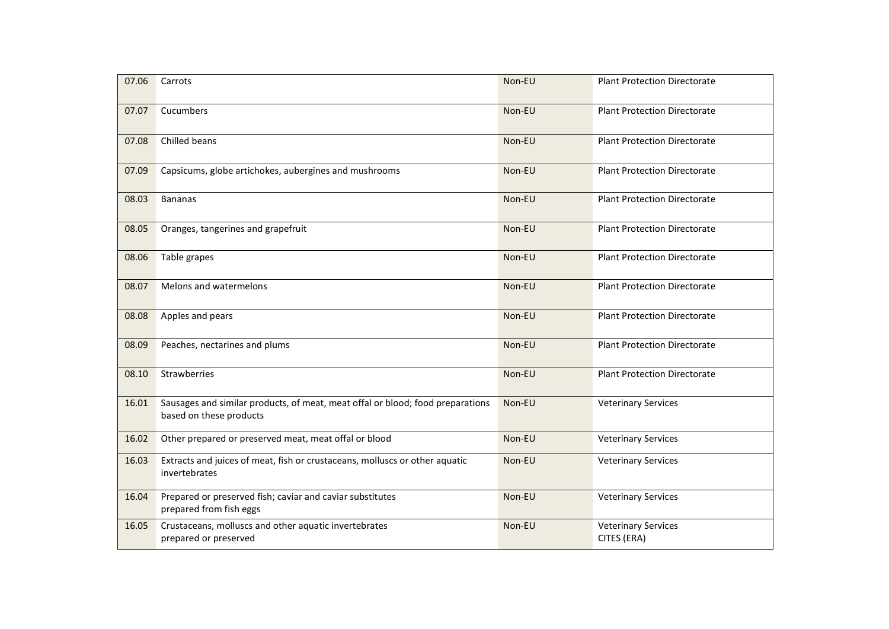| 07.06 | Carrots                                                                                                   | Non-EU | <b>Plant Protection Directorate</b>       |
|-------|-----------------------------------------------------------------------------------------------------------|--------|-------------------------------------------|
| 07.07 | Cucumbers                                                                                                 | Non-EU | <b>Plant Protection Directorate</b>       |
| 07.08 | Chilled beans                                                                                             | Non-EU | <b>Plant Protection Directorate</b>       |
| 07.09 | Capsicums, globe artichokes, aubergines and mushrooms                                                     | Non-EU | <b>Plant Protection Directorate</b>       |
| 08.03 | <b>Bananas</b>                                                                                            | Non-EU | <b>Plant Protection Directorate</b>       |
| 08.05 | Oranges, tangerines and grapefruit                                                                        | Non-EU | <b>Plant Protection Directorate</b>       |
| 08.06 | Table grapes                                                                                              | Non-EU | <b>Plant Protection Directorate</b>       |
| 08.07 | Melons and watermelons                                                                                    | Non-EU | <b>Plant Protection Directorate</b>       |
| 08.08 | Apples and pears                                                                                          | Non-EU | <b>Plant Protection Directorate</b>       |
| 08.09 | Peaches, nectarines and plums                                                                             | Non-EU | <b>Plant Protection Directorate</b>       |
| 08.10 | Strawberries                                                                                              | Non-EU | <b>Plant Protection Directorate</b>       |
| 16.01 | Sausages and similar products, of meat, meat offal or blood; food preparations<br>based on these products | Non-EU | <b>Veterinary Services</b>                |
| 16.02 | Other prepared or preserved meat, meat offal or blood                                                     | Non-EU | <b>Veterinary Services</b>                |
| 16.03 | Extracts and juices of meat, fish or crustaceans, molluscs or other aquatic<br>invertebrates              | Non-EU | <b>Veterinary Services</b>                |
| 16.04 | Prepared or preserved fish; caviar and caviar substitutes<br>prepared from fish eggs                      | Non-EU | <b>Veterinary Services</b>                |
| 16.05 | Crustaceans, molluscs and other aquatic invertebrates<br>prepared or preserved                            | Non-EU | <b>Veterinary Services</b><br>CITES (ERA) |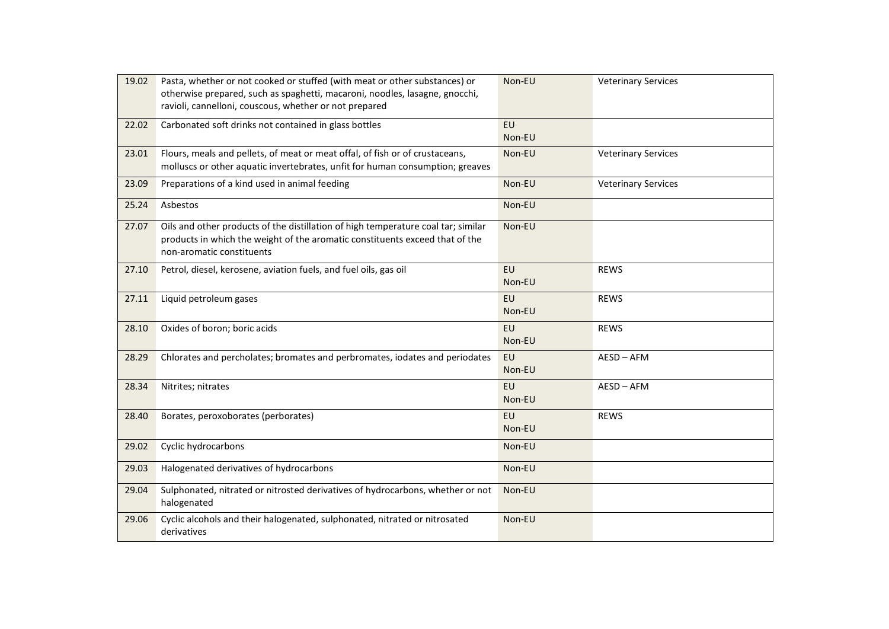| 19.02 | Pasta, whether or not cooked or stuffed (with meat or other substances) or<br>otherwise prepared, such as spaghetti, macaroni, noodles, lasagne, gnocchi,<br>ravioli, cannelloni, couscous, whether or not prepared | Non-EU              | <b>Veterinary Services</b> |
|-------|---------------------------------------------------------------------------------------------------------------------------------------------------------------------------------------------------------------------|---------------------|----------------------------|
| 22.02 | Carbonated soft drinks not contained in glass bottles                                                                                                                                                               | <b>EU</b><br>Non-EU |                            |
| 23.01 | Flours, meals and pellets, of meat or meat offal, of fish or of crustaceans,<br>molluscs or other aquatic invertebrates, unfit for human consumption; greaves                                                       | Non-EU              | <b>Veterinary Services</b> |
| 23.09 | Preparations of a kind used in animal feeding                                                                                                                                                                       | Non-EU              | <b>Veterinary Services</b> |
| 25.24 | Asbestos                                                                                                                                                                                                            | Non-EU              |                            |
| 27.07 | Oils and other products of the distillation of high temperature coal tar; similar<br>products in which the weight of the aromatic constituents exceed that of the<br>non-aromatic constituents                      | Non-EU              |                            |
| 27.10 | Petrol, diesel, kerosene, aviation fuels, and fuel oils, gas oil                                                                                                                                                    | <b>EU</b><br>Non-EU | <b>REWS</b>                |
| 27.11 | Liquid petroleum gases                                                                                                                                                                                              | EU<br>Non-EU        | <b>REWS</b>                |
| 28.10 | Oxides of boron; boric acids                                                                                                                                                                                        | EU<br>Non-EU        | <b>REWS</b>                |
| 28.29 | Chlorates and percholates; bromates and perbromates, iodates and periodates                                                                                                                                         | <b>EU</b><br>Non-EU | AESD-AFM                   |
| 28.34 | Nitrites; nitrates                                                                                                                                                                                                  | EU<br>Non-EU        | AESD-AFM                   |
| 28.40 | Borates, peroxoborates (perborates)                                                                                                                                                                                 | <b>EU</b><br>Non-EU | <b>REWS</b>                |
| 29.02 | Cyclic hydrocarbons                                                                                                                                                                                                 | Non-EU              |                            |
| 29.03 | Halogenated derivatives of hydrocarbons                                                                                                                                                                             | Non-EU              |                            |
| 29.04 | Sulphonated, nitrated or nitrosted derivatives of hydrocarbons, whether or not<br>halogenated                                                                                                                       | Non-EU              |                            |
| 29.06 | Cyclic alcohols and their halogenated, sulphonated, nitrated or nitrosated<br>derivatives                                                                                                                           | Non-EU              |                            |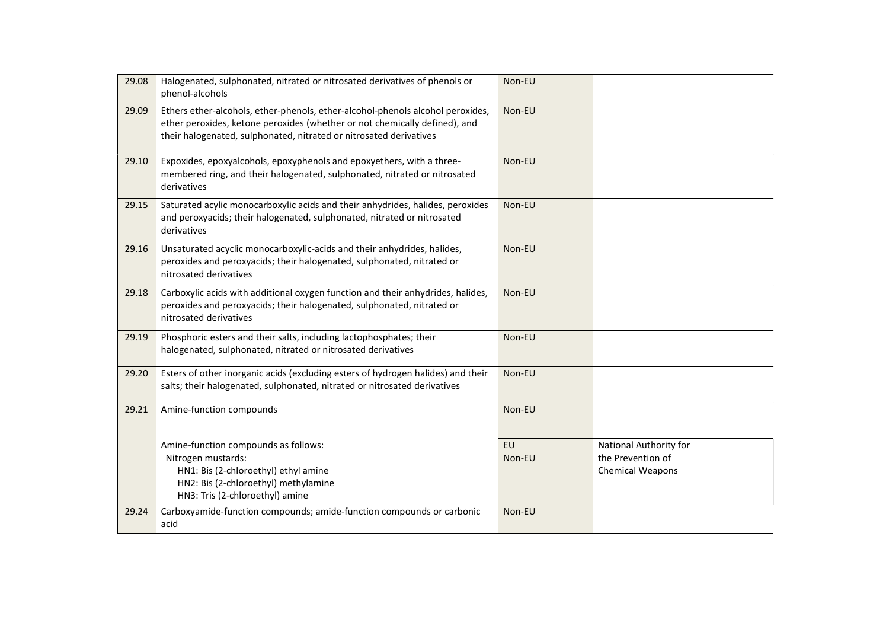| 29.08 | Halogenated, sulphonated, nitrated or nitrosated derivatives of phenols or<br>phenol-alcohols                                                                                                                                      | Non-EU       |                                                                 |
|-------|------------------------------------------------------------------------------------------------------------------------------------------------------------------------------------------------------------------------------------|--------------|-----------------------------------------------------------------|
| 29.09 | Ethers ether-alcohols, ether-phenols, ether-alcohol-phenols alcohol peroxides,<br>ether peroxides, ketone peroxides (whether or not chemically defined), and<br>their halogenated, sulphonated, nitrated or nitrosated derivatives | Non-EU       |                                                                 |
| 29.10 | Expoxides, epoxyalcohols, epoxyphenols and epoxyethers, with a three-<br>membered ring, and their halogenated, sulphonated, nitrated or nitrosated<br>derivatives                                                                  | Non-EU       |                                                                 |
| 29.15 | Saturated acylic monocarboxylic acids and their anhydrides, halides, peroxides<br>and peroxyacids; their halogenated, sulphonated, nitrated or nitrosated<br>derivatives                                                           | Non-EU       |                                                                 |
| 29.16 | Unsaturated acyclic monocarboxylic-acids and their anhydrides, halides,<br>peroxides and peroxyacids; their halogenated, sulphonated, nitrated or<br>nitrosated derivatives                                                        | Non-EU       |                                                                 |
| 29.18 | Carboxylic acids with additional oxygen function and their anhydrides, halides,<br>peroxides and peroxyacids; their halogenated, sulphonated, nitrated or<br>nitrosated derivatives                                                | Non-EU       |                                                                 |
| 29.19 | Phosphoric esters and their salts, including lactophosphates; their<br>halogenated, sulphonated, nitrated or nitrosated derivatives                                                                                                | Non-EU       |                                                                 |
| 29.20 | Esters of other inorganic acids (excluding esters of hydrogen halides) and their<br>salts; their halogenated, sulphonated, nitrated or nitrosated derivatives                                                                      | Non-EU       |                                                                 |
| 29.21 | Amine-function compounds                                                                                                                                                                                                           | Non-EU       |                                                                 |
|       | Amine-function compounds as follows:<br>Nitrogen mustards:<br>HN1: Bis (2-chloroethyl) ethyl amine<br>HN2: Bis (2-chloroethyl) methylamine<br>HN3: Tris (2-chloroethyl) amine                                                      | EU<br>Non-EU | National Authority for<br>the Prevention of<br>Chemical Weapons |
| 29.24 | Carboxyamide-function compounds; amide-function compounds or carbonic<br>acid                                                                                                                                                      | Non-EU       |                                                                 |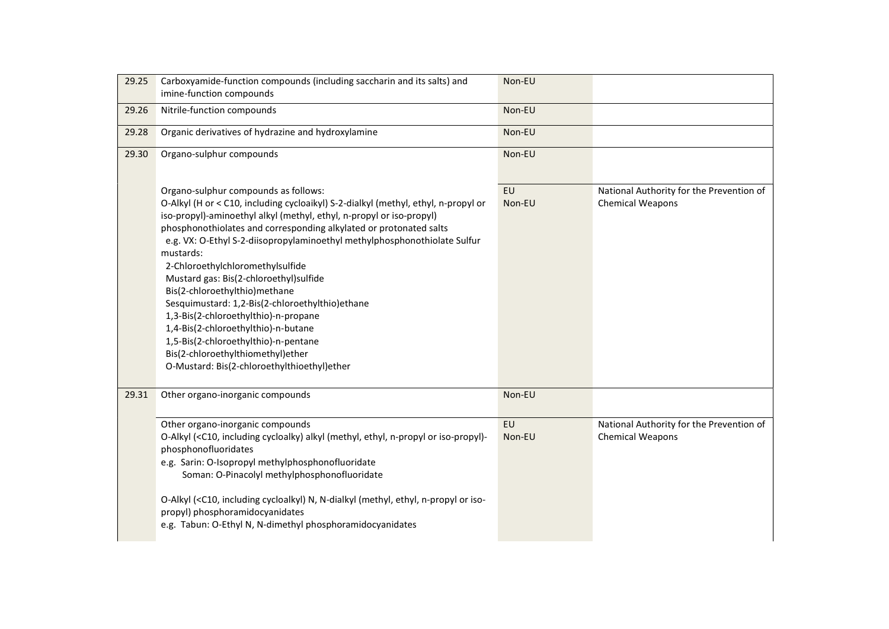| 29.25 | Carboxyamide-function compounds (including saccharin and its salts) and<br>imine-function compounds                                                                                                                                                                                                                                                                                                                                                                                                                                                                                                                                                                                                                                              | Non-EU              |                                                                     |
|-------|--------------------------------------------------------------------------------------------------------------------------------------------------------------------------------------------------------------------------------------------------------------------------------------------------------------------------------------------------------------------------------------------------------------------------------------------------------------------------------------------------------------------------------------------------------------------------------------------------------------------------------------------------------------------------------------------------------------------------------------------------|---------------------|---------------------------------------------------------------------|
| 29.26 | Nitrile-function compounds                                                                                                                                                                                                                                                                                                                                                                                                                                                                                                                                                                                                                                                                                                                       | Non-EU              |                                                                     |
| 29.28 | Organic derivatives of hydrazine and hydroxylamine                                                                                                                                                                                                                                                                                                                                                                                                                                                                                                                                                                                                                                                                                               | Non-EU              |                                                                     |
| 29.30 | Organo-sulphur compounds                                                                                                                                                                                                                                                                                                                                                                                                                                                                                                                                                                                                                                                                                                                         | Non-EU              |                                                                     |
|       | Organo-sulphur compounds as follows:<br>O-Alkyl (H or < C10, including cycloaikyl) S-2-dialkyl (methyl, ethyl, n-propyl or<br>iso-propyl)-aminoethyl alkyl (methyl, ethyl, n-propyl or iso-propyl)<br>phosphonothiolates and corresponding alkylated or protonated salts<br>e.g. VX: O-Ethyl S-2-diisopropylaminoethyl methylphosphonothiolate Sulfur<br>mustards:<br>2-Chloroethylchloromethylsulfide<br>Mustard gas: Bis(2-chloroethyl)sulfide<br>Bis(2-chloroethylthio) methane<br>Sesquimustard: 1,2-Bis(2-chloroethylthio)ethane<br>1,3-Bis(2-chloroethylthio)-n-propane<br>1,4-Bis(2-chloroethylthio)-n-butane<br>1,5-Bis(2-chloroethylthio)-n-pentane<br>Bis(2-chloroethylthiomethyl)ether<br>O-Mustard: Bis(2-chloroethylthioethyl)ether | <b>EU</b><br>Non-EU | National Authority for the Prevention of<br><b>Chemical Weapons</b> |
| 29.31 | Other organo-inorganic compounds                                                                                                                                                                                                                                                                                                                                                                                                                                                                                                                                                                                                                                                                                                                 | Non-EU              |                                                                     |
|       | Other organo-inorganic compounds<br>O-Alkyl ( <c10, (methyl,="" alkyl="" cycloalky)="" ethyl,="" including="" iso-propyl)-<br="" n-propyl="" or="">phosphonofluoridates<br/>e.g. Sarin: O-Isopropyl methylphosphonofluoridate<br/>Soman: O-Pinacolyl methylphosphonofluoridate<br/>O-Alkyl (<c10, (methyl,="" cycloalkyl)="" ethyl,="" including="" iso-<br="" n,="" n-dialkyl="" n-propyl="" or="">propyl) phosphoramidocyanidates<br/>e.g. Tabun: O-Ethyl N, N-dimethyl phosphoramidocyanidates</c10,></c10,>                                                                                                                                                                                                                                  | EU<br>Non-EU        | National Authority for the Prevention of<br><b>Chemical Weapons</b> |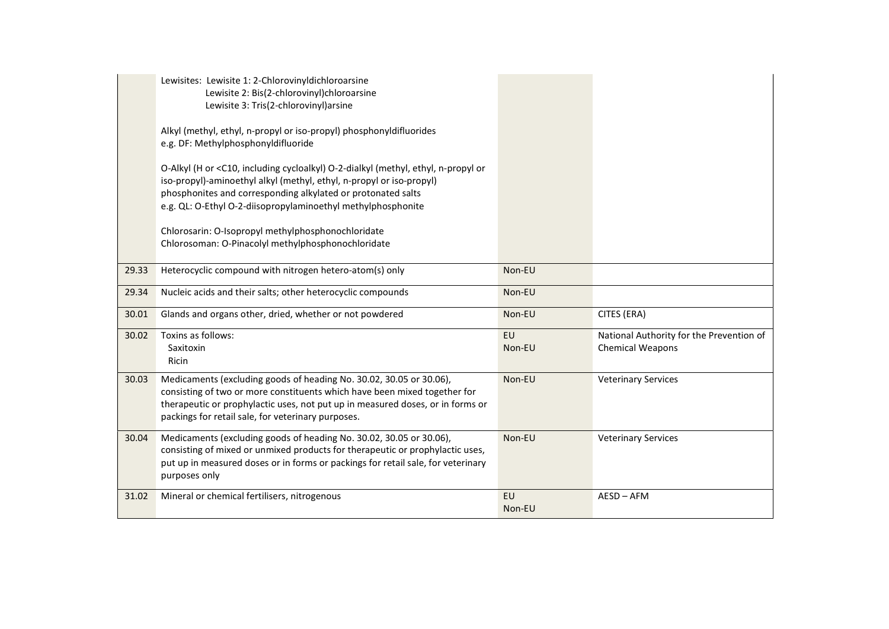|       | Lewisites: Lewisite 1: 2-Chlorovinyldichloroarsine<br>Lewisite 2: Bis(2-chlorovinyl)chloroarsine<br>Lewisite 3: Tris(2-chlorovinyl)arsine<br>Alkyl (methyl, ethyl, n-propyl or iso-propyl) phosphonyldifluorides<br>e.g. DF: Methylphosphonyldifluoride<br>O-Alkyl (H or <c10, (methyl,="" cycloalkyl)="" ethyl,="" including="" n-propyl="" o-2-dialkyl="" or<br="">iso-propyl)-aminoethyl alkyl (methyl, ethyl, n-propyl or iso-propyl)<br/>phosphonites and corresponding alkylated or protonated salts<br/>e.g. QL: O-Ethyl O-2-diisopropylaminoethyl methylphosphonite<br/>Chlorosarin: O-Isopropyl methylphosphonochloridate<br/>Chlorosoman: O-Pinacolyl methylphosphonochloridate</c10,> |                     |                                                                     |
|-------|--------------------------------------------------------------------------------------------------------------------------------------------------------------------------------------------------------------------------------------------------------------------------------------------------------------------------------------------------------------------------------------------------------------------------------------------------------------------------------------------------------------------------------------------------------------------------------------------------------------------------------------------------------------------------------------------------|---------------------|---------------------------------------------------------------------|
| 29.33 | Heterocyclic compound with nitrogen hetero-atom(s) only                                                                                                                                                                                                                                                                                                                                                                                                                                                                                                                                                                                                                                          | Non-EU              |                                                                     |
| 29.34 | Nucleic acids and their salts; other heterocyclic compounds                                                                                                                                                                                                                                                                                                                                                                                                                                                                                                                                                                                                                                      | Non-EU              |                                                                     |
| 30.01 | Glands and organs other, dried, whether or not powdered                                                                                                                                                                                                                                                                                                                                                                                                                                                                                                                                                                                                                                          | Non-EU              | CITES (ERA)                                                         |
| 30.02 | Toxins as follows:<br>Saxitoxin<br>Ricin                                                                                                                                                                                                                                                                                                                                                                                                                                                                                                                                                                                                                                                         | <b>EU</b><br>Non-EU | National Authority for the Prevention of<br><b>Chemical Weapons</b> |
| 30.03 | Medicaments (excluding goods of heading No. 30.02, 30.05 or 30.06),<br>consisting of two or more constituents which have been mixed together for<br>therapeutic or prophylactic uses, not put up in measured doses, or in forms or<br>packings for retail sale, for veterinary purposes.                                                                                                                                                                                                                                                                                                                                                                                                         | Non-EU              | <b>Veterinary Services</b>                                          |
| 30.04 | Medicaments (excluding goods of heading No. 30.02, 30.05 or 30.06),<br>consisting of mixed or unmixed products for therapeutic or prophylactic uses,<br>put up in measured doses or in forms or packings for retail sale, for veterinary<br>purposes only                                                                                                                                                                                                                                                                                                                                                                                                                                        | Non-EU              | <b>Veterinary Services</b>                                          |
| 31.02 | Mineral or chemical fertilisers, nitrogenous                                                                                                                                                                                                                                                                                                                                                                                                                                                                                                                                                                                                                                                     | <b>EU</b><br>Non-EU | AESD-AFM                                                            |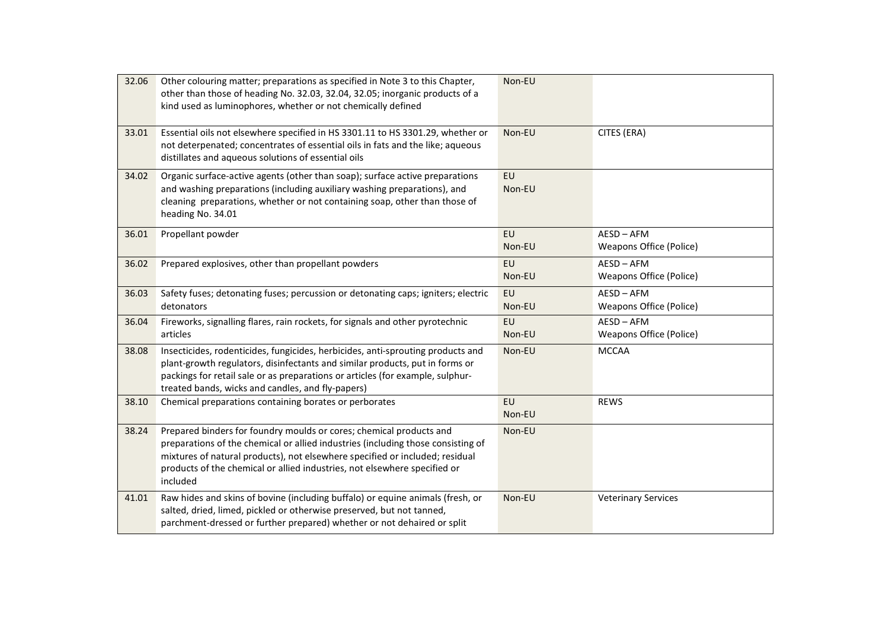| 32.06 | Other colouring matter; preparations as specified in Note 3 to this Chapter,<br>other than those of heading No. 32.03, 32.04, 32.05; inorganic products of a<br>kind used as luminophores, whether or not chemically defined                                                                                                     | Non-EU              |                                            |
|-------|----------------------------------------------------------------------------------------------------------------------------------------------------------------------------------------------------------------------------------------------------------------------------------------------------------------------------------|---------------------|--------------------------------------------|
| 33.01 | Essential oils not elsewhere specified in HS 3301.11 to HS 3301.29, whether or<br>not deterpenated; concentrates of essential oils in fats and the like; aqueous<br>distillates and aqueous solutions of essential oils                                                                                                          | Non-EU              | CITES (ERA)                                |
| 34.02 | Organic surface-active agents (other than soap); surface active preparations<br>and washing preparations (including auxiliary washing preparations), and<br>cleaning preparations, whether or not containing soap, other than those of<br>heading No. 34.01                                                                      | <b>EU</b><br>Non-EU |                                            |
| 36.01 | Propellant powder                                                                                                                                                                                                                                                                                                                | <b>EU</b><br>Non-EU | AESD-AFM<br><b>Weapons Office (Police)</b> |
| 36.02 | Prepared explosives, other than propellant powders                                                                                                                                                                                                                                                                               | EU<br>Non-EU        | AESD-AFM<br><b>Weapons Office (Police)</b> |
| 36.03 | Safety fuses; detonating fuses; percussion or detonating caps; igniters; electric<br>detonators                                                                                                                                                                                                                                  | EU<br>Non-EU        | AESD-AFM<br><b>Weapons Office (Police)</b> |
| 36.04 | Fireworks, signalling flares, rain rockets, for signals and other pyrotechnic<br>articles                                                                                                                                                                                                                                        | <b>EU</b><br>Non-EU | AESD-AFM<br><b>Weapons Office (Police)</b> |
| 38.08 | Insecticides, rodenticides, fungicides, herbicides, anti-sprouting products and<br>plant-growth regulators, disinfectants and similar products, put in forms or<br>packings for retail sale or as preparations or articles (for example, sulphur-<br>treated bands, wicks and candles, and fly-papers)                           | Non-EU              | <b>MCCAA</b>                               |
| 38.10 | Chemical preparations containing borates or perborates                                                                                                                                                                                                                                                                           | <b>EU</b><br>Non-EU | <b>REWS</b>                                |
| 38.24 | Prepared binders for foundry moulds or cores; chemical products and<br>preparations of the chemical or allied industries (including those consisting of<br>mixtures of natural products), not elsewhere specified or included; residual<br>products of the chemical or allied industries, not elsewhere specified or<br>included | Non-EU              |                                            |
| 41.01 | Raw hides and skins of bovine (including buffalo) or equine animals (fresh, or<br>salted, dried, limed, pickled or otherwise preserved, but not tanned,<br>parchment-dressed or further prepared) whether or not dehaired or split                                                                                               | Non-EU              | <b>Veterinary Services</b>                 |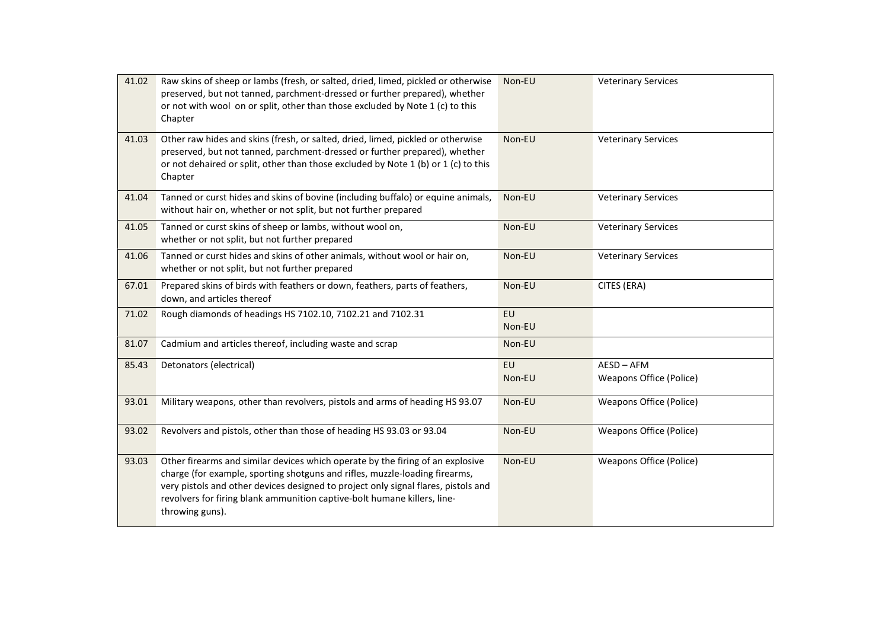| 41.02 | Raw skins of sheep or lambs (fresh, or salted, dried, limed, pickled or otherwise<br>preserved, but not tanned, parchment-dressed or further prepared), whether<br>or not with wool on or split, other than those excluded by Note 1 (c) to this<br>Chapter                                                                                        | Non-EU              | <b>Veterinary Services</b>                 |
|-------|----------------------------------------------------------------------------------------------------------------------------------------------------------------------------------------------------------------------------------------------------------------------------------------------------------------------------------------------------|---------------------|--------------------------------------------|
| 41.03 | Other raw hides and skins (fresh, or salted, dried, limed, pickled or otherwise<br>preserved, but not tanned, parchment-dressed or further prepared), whether<br>or not dehaired or split, other than those excluded by Note 1 (b) or 1 (c) to this<br>Chapter                                                                                     | Non-EU              | <b>Veterinary Services</b>                 |
| 41.04 | Tanned or curst hides and skins of bovine (including buffalo) or equine animals,<br>without hair on, whether or not split, but not further prepared                                                                                                                                                                                                | Non-EU              | <b>Veterinary Services</b>                 |
| 41.05 | Tanned or curst skins of sheep or lambs, without wool on,<br>whether or not split, but not further prepared                                                                                                                                                                                                                                        | Non-EU              | <b>Veterinary Services</b>                 |
| 41.06 | Tanned or curst hides and skins of other animals, without wool or hair on,<br>whether or not split, but not further prepared                                                                                                                                                                                                                       | Non-EU              | <b>Veterinary Services</b>                 |
| 67.01 | Prepared skins of birds with feathers or down, feathers, parts of feathers,<br>down, and articles thereof                                                                                                                                                                                                                                          | Non-EU              | CITES (ERA)                                |
| 71.02 | Rough diamonds of headings HS 7102.10, 7102.21 and 7102.31                                                                                                                                                                                                                                                                                         | EU<br>Non-EU        |                                            |
| 81.07 | Cadmium and articles thereof, including waste and scrap                                                                                                                                                                                                                                                                                            | Non-EU              |                                            |
| 85.43 | Detonators (electrical)                                                                                                                                                                                                                                                                                                                            | <b>EU</b><br>Non-EU | AESD-AFM<br><b>Weapons Office (Police)</b> |
| 93.01 | Military weapons, other than revolvers, pistols and arms of heading HS 93.07                                                                                                                                                                                                                                                                       | Non-EU              | <b>Weapons Office (Police)</b>             |
| 93.02 | Revolvers and pistols, other than those of heading HS 93.03 or 93.04                                                                                                                                                                                                                                                                               | Non-EU              | <b>Weapons Office (Police)</b>             |
| 93.03 | Other firearms and similar devices which operate by the firing of an explosive<br>charge (for example, sporting shotguns and rifles, muzzle-loading firearms,<br>very pistols and other devices designed to project only signal flares, pistols and<br>revolvers for firing blank ammunition captive-bolt humane killers, line-<br>throwing guns). | Non-EU              | <b>Weapons Office (Police)</b>             |